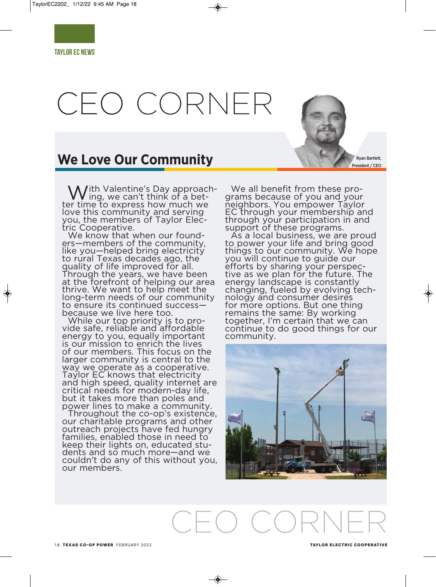# CEO CORNER

# **We Love Our Community**

 ${\cal N}$ ith Valentine's Day approach-<br> ${\cal N}$  ing, we can't think of a better time to express how much we love this community and serving you, the members of Taylor Electric Cooperative.

We know that when our founders—members of the community, like you—helped bring electricity to rural Texas decades ago, the quality of life improved for all. Through the years, we have been at the forefront of helping our area thrive. We want to help meet the long-term needs of our community to ensure its continued success because we live here too.

While our top priority is to provide safe, reliable and affordable energy to you, equally important is our mission to enrich the lives of our members. This focus on the larger community is central to the way we operate as a cooperative. Taylor EC knows that electricity and high speed, quality internet are critical needs for modern-day life, but it takes more than poles and power lines to make a community.

Throughout the co-op's existence, our charitable programs and other outreach projects have fed hungry families, enabled those in need to keep their lights on, educated students and so much more—and we couldn't do any of this without you, our members.

CEO CORNER

We all benefit from these programs because of you and your neighbors. You empower Taylor EC through your membership and through your participation in and support of these programs.

As a local business, we are proud to power your life and bring good things to our community. We hope you will continue to guide our efforts by sharing your perspective as we plan for the future. The energy landscape is constantly changing, fueled by evolving technology and consumer desires for more options. But one thing remains the same: By working together, I'm certain that we can continue to do good things for our community.



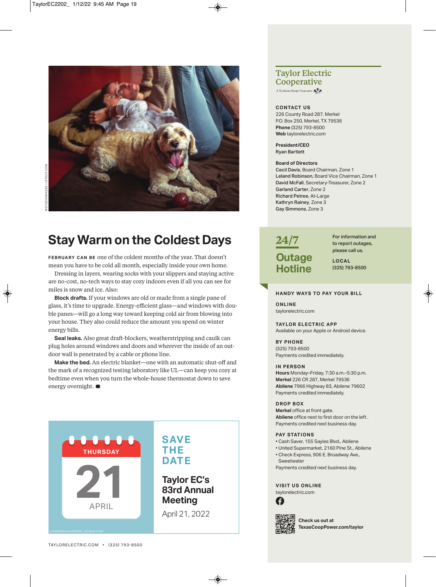

# **Stay Warm on the Coldest Days**

**FEBRUARY CAN BE** one of the coldest months of the year. That doesn't mean you have to be cold all month, especially inside your own home.

Dressing in layers, wearing socks with your slippers and staying active are no-cost, no-tech ways to stay cozy indoors even if all you can see for miles is snow and ice. Also:

**block drafts.** If your windows are old or made from a single pane of glass, it's time to upgrade. Energy-efficient glass—and windows with double panes—will go a long way toward keeping cold air from blowing into your house. They also could reduce the amount you spend on winter energy bills.

**Seal leaks.** Also great draft-blockers, weatherstripping and caulk can plug holes around windows and doors and wherever the inside of an outdoor wall is penetrated by a cable or phone line.

**Make the bed.** An electric blanket—one with an automatic shut-off and the mark of a recognized testing laboratory like UL—can keep you cozy at bedtime even when you turn the whole-house thermostat down to save energy overnight. **D**



### **Taylor Electric Cooperative**

A Touchstone Energy<sup>®</sup> Cooperative

#### **ConTaCT uS**

226 County Road 287, Merkel P.O. Box 250, Merkel, TX 79536 **Phone** (325) 793-8500 **Web** taylorelectric.com

**President/Ceo**  Ryan Bartlett

#### **board of Directors**

Cecil Davis, Board chairman, Zone 1 Leland Robinson, Board Vice chairman, Zone 1 David McFall, Secretary-Treasurer, Zone 2 Garland Carter, Zone 2 Richard Petree, at-large Kathryn Rainey, Zone 3 Gay Simmons, Zone 3



For information and to report outages, please call us.

**LoCaL** (325) 793-8500

#### **hanDy WayS To Pay your bILL**

**onLIne** taylorelectric.com

#### **TayLor eLeCTrIC aPP**

Available on your Apple or Android device.

**by Phone**  (325) 793-8500 payments credited immediately.

#### **In PerSon**

**hours** Monday–Friday, 7:30 a.m.–5:30 p.m. **Merkel** 226 CR 287, Merkel 79536 **abilene** 7966 Highway 83, abilene 79602 payments credited immediately.

#### **DroP box**

**Merkel** office at front gate. **abilene** office next to first door on the left . payments credited next business day.

#### **Pay STaTIonS**

- cash Saver, 155 Sayles Blvd., abilene
- united Supermarket, 2160 pine St., abilene
- Check Express, 906 E. Broadway Ave., **Sweetwater**
- payments credited next business day.

#### **vISIT uS onLIne**

taylorelectric.com





**Check us out at TexasCoopPower.com/taylor**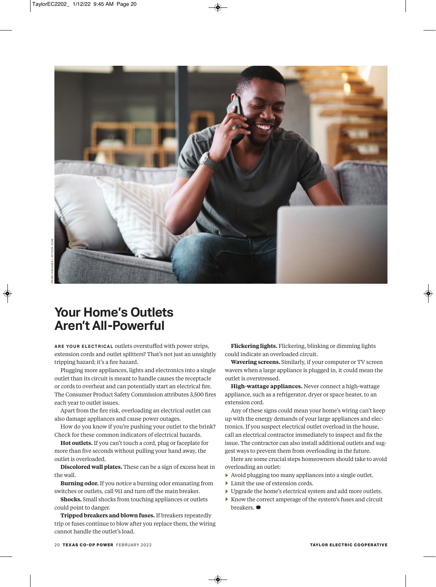

## **Your Home's Outlets Aren't All-Powerful**

**ARE YOUR ELECTRICAL outlets overstuffed with power strips,** extension cords and outlet splitters? That's not just an unsightly tripping hazard; it's a fire hazard.

Plugging more appliances, lights and electronics into a single outlet than its circuit is meant to handle causes the receptacle or cords to overheat and can potentially start an electrical fire. The Consumer Product Safety Commission attributes 3,500 fires each year to outlet issues.

Apart from the fire risk, overloading an electrical outlet can also damage appliances and cause power outages.

How do you know if you're pushing your outlet to the brink? Check for these common indicators of electrical hazards.

**Hot outlets.** If you can't touch a cord, plug or faceplate for more than five seconds without pulling your hand away, the outlet is overloaded.

**Discolored wall plates.** These can be a sign of excess heat in the wall.

**Burning odor.** If you notice a burning odor emanating from switches or outlets, call 911 and turn off the main breaker.

**Shocks.** Small shocks from touching appliances or outlets could point to danger.

**Tripped breakers and blown fuses.** If breakers repeatedly trip or fuses continue to blow after you replace them, the wiring cannot handle the outlet's load.

**Flickering lights.** Flickering, blinking or dimming lights could indicate an overloaded circuit.

**Wavering screens.** Similarly, if your computer or TV screen wavers when a large appliance is plugged in, it could mean the outlet is overstressed.

**High-wattage appliances.** Never connect a high-wattage appliance, such as a refrigerator, dryer or space heater, to an extension cord.

Any of these signs could mean your home's wiring can't keep up with the energy demands of your large appliances and electronics. If you suspect electrical outlet overload in the house, call an electrical contractor immediately to inspect and fix the issue. The contractor can also install additional outlets and suggest ways to prevent them from overloading in the future.

Here are some crucial steps homeowners should take to avoid overloading an outlet:

- **e** Avoid plugging too many appliances into a single outlet.
- **e** Limit the use of extension cords.
- **e** Upgrade the home's electrical system and add more outlets.
- **e** Know the correct amperage of the system's fuses and circuit breakers.